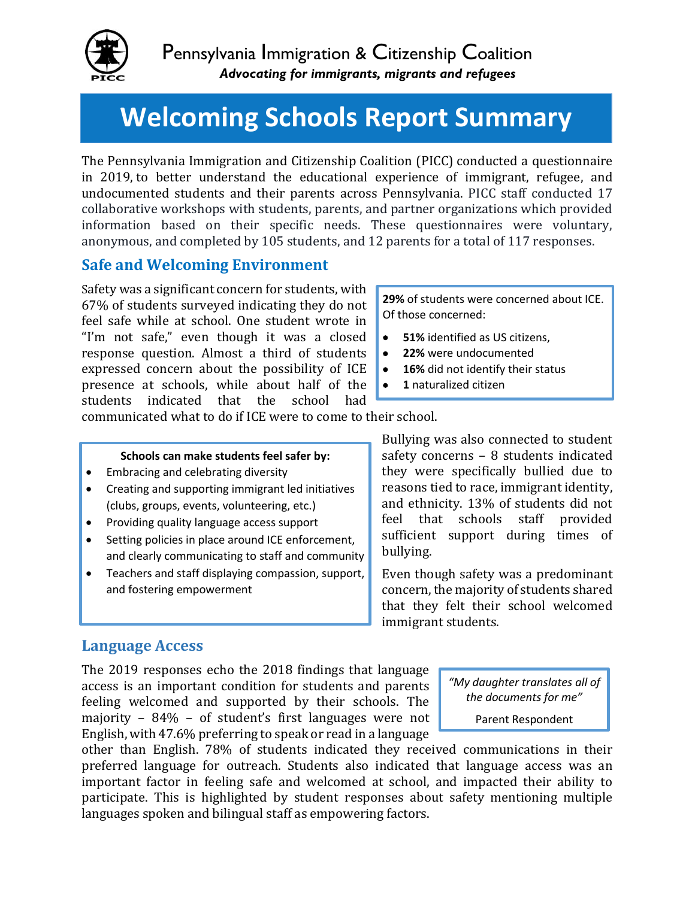

# **Welcoming Schools Report Summary**

The Pennsylvania Immigration and Citizenship Coalition (PICC) conducted a questionnaire in 2019, to better understand the educational experience of immigrant, refugee, and undocumented students and their parents across Pennsylvania. PICC staff conducted 17 collaborative workshops with students, parents, and partner organizations which provided information based on their specific needs. These questionnaires were voluntary, anonymous, and completed by 105 students, and 12 parents for a total of 117 responses.

### **Safe and Welcoming Environment**

Safety was a significant concern for students, with 67% of students surveyed indicating they do not feel safe while at school. One student wrote in "I'm not safe," even though it was a closed response question. Almost a third of students expressed concern about the possibility of ICE presence at schools, while about half of the students indicated that the school had

**29%** of students were concerned about ICE. Of those concerned:

- **51%** identified as US citizens,
- **22%** were undocumented
- **16%** did not identify their status
- **1** naturalized citizen

communicated what to do if ICE were to come to their school.

#### **Schools can make students feel safer by:**

- Embracing and celebrating diversity
- Creating and supporting immigrant led initiatives (clubs, groups, events, volunteering, etc.)
- Providing quality language access support
- Setting policies in place around ICE enforcement, and clearly communicating to staff and community
- Teachers and staff displaying compassion, support, and fostering empowerment

Bullying was also connected to student safety concerns – 8 students indicated they were specifically bullied due to reasons tied to race, immigrant identity, and ethnicity. 13% of students did not feel that schools staff provided sufficient support during times of bullying.

Even though safety was a predominant concern, the majority of students shared that they felt their school welcomed immigrant students.

### **Language Access**

The 2019 responses echo the 2018 findings that language access is an important condition for students and parents feeling welcomed and supported by their schools. The majority – 84% – of student's first languages were not English, with 47.6% preferring to speak or read in a language

*"My daughter translates all of the documents for me"* Parent Respondent

other than English. 78% of students indicated they received communications in their preferred language for outreach. Students also indicated that language access was an important factor in feeling safe and welcomed at school, and impacted their ability to participate. This is highlighted by student responses about safety mentioning multiple languages spoken and bilingual staff as empowering factors.